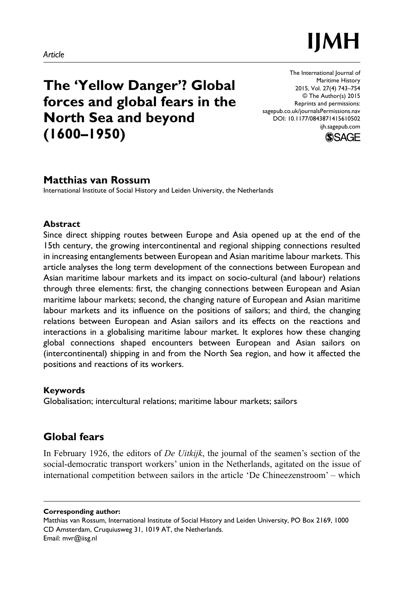# *Article* **IJMH**

# **The 'Yellow Danger'? Global forces and global fears in the North Sea and beyond (1600–1950)**

The International lournal of Maritime History 2015, Vol. 27(4) 743–754 © The Author(s) 2015 Reprints and permissions: sagepub.co.uk/journalsPermissions.nav DOI: 10.1177/0843871415610502 ijh.sagepub.com



# **Matthias van Rossum**

International Institute of Social History and Leiden University, the Netherlands

#### **Abstract**

Since direct shipping routes between Europe and Asia opened up at the end of the 15th century, the growing intercontinental and regional shipping connections resulted in increasing entanglements between European and Asian maritime labour markets. This article analyses the long term development of the connections between European and Asian maritime labour markets and its impact on socio-cultural (and labour) relations through three elements: first, the changing connections between European and Asian maritime labour markets; second, the changing nature of European and Asian maritime labour markets and its influence on the positions of sailors; and third, the changing relations between European and Asian sailors and its effects on the reactions and interactions in a globalising maritime labour market. It explores how these changing global connections shaped encounters between European and Asian sailors on (intercontinental) shipping in and from the North Sea region, and how it affected the positions and reactions of its workers.

#### **Keywords**

Globalisation; intercultural relations; maritime labour markets; sailors

# **Global fears**

In February 1926, the editors of *De Uitkijk*, the journal of the seamen's section of the social-democratic transport workers' union in the Netherlands, agitated on the issue of international competition between sailors in the article 'De Chineezenstroom' – which

#### **Corresponding author:**

Matthias van Rossum, International Institute of Social History and Leiden University, PO Box 2169, 1000 CD Amsterdam, Cruquiusweg 31, 1019 AT, the Netherlands. Email: mvr@iisg.nl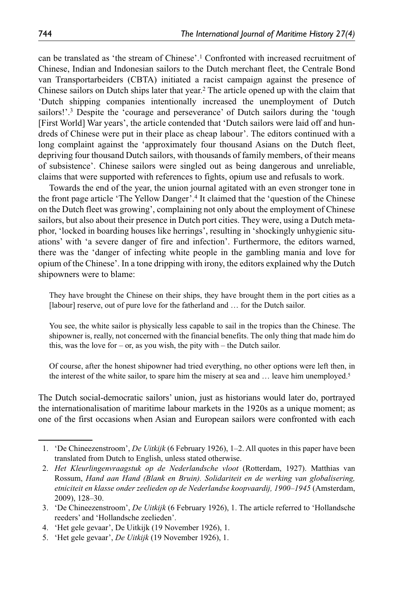can be translated as 'the stream of Chinese'.1 Confronted with increased recruitment of Chinese, Indian and Indonesian sailors to the Dutch merchant fleet, the Centrale Bond van Transportarbeiders (CBTA) initiated a racist campaign against the presence of Chinese sailors on Dutch ships later that year.2 The article opened up with the claim that 'Dutch shipping companies intentionally increased the unemployment of Dutch sailors!'.3 Despite the 'courage and perseverance' of Dutch sailors during the 'tough [First World] War years', the article contended that 'Dutch sailors were laid off and hundreds of Chinese were put in their place as cheap labour'. The editors continued with a long complaint against the 'approximately four thousand Asians on the Dutch fleet, depriving four thousand Dutch sailors, with thousands of family members, of their means of subsistence'. Chinese sailors were singled out as being dangerous and unreliable, claims that were supported with references to fights, opium use and refusals to work.

Towards the end of the year, the union journal agitated with an even stronger tone in the front page article 'The Yellow Danger'.4 It claimed that the 'question of the Chinese on the Dutch fleet was growing', complaining not only about the employment of Chinese sailors, but also about their presence in Dutch port cities. They were, using a Dutch metaphor, 'locked in boarding houses like herrings', resulting in 'shockingly unhygienic situations' with 'a severe danger of fire and infection'. Furthermore, the editors warned, there was the 'danger of infecting white people in the gambling mania and love for opium of the Chinese'. In a tone dripping with irony, the editors explained why the Dutch shipowners were to blame:

They have brought the Chinese on their ships, they have brought them in the port cities as a [labour] reserve, out of pure love for the fatherland and ... for the Dutch sailor.

You see, the white sailor is physically less capable to sail in the tropics than the Chinese. The shipowner is, really, not concerned with the financial benefits. The only thing that made him do this, was the love for  $-$  or, as you wish, the pity with  $-$  the Dutch sailor.

Of course, after the honest shipowner had tried everything, no other options were left then, in the interest of the white sailor, to spare him the misery at sea and ... leave him unemployed.<sup>5</sup>

The Dutch social-democratic sailors' union, just as historians would later do, portrayed the internationalisation of maritime labour markets in the 1920s as a unique moment; as one of the first occasions when Asian and European sailors were confronted with each

<sup>1.</sup> 'De Chineezenstroom', *De Uitkijk* (6 February 1926), 1–2. All quotes in this paper have been translated from Dutch to English, unless stated otherwise.

<sup>2.</sup> *Het Kleurlingenvraagstuk op de Nederlandsche vloot* (Rotterdam, 1927). Matthias van Rossum, *Hand aan Hand (Blank en Bruin). Solidariteit en de werking van globalisering, etniciteit en klasse onder zeelieden op de Nederlandse koopvaardij, 1900–1945* (Amsterdam, 2009), 128–30.

<sup>3.</sup> 'De Chineezenstroom', *De Uitkijk* (6 February 1926), 1. The article referred to 'Hollandsche reeders' and 'Hollandsche zeelieden'.

<sup>4.</sup> 'Het gele gevaar', De Uitkijk (19 November 1926), 1.

<sup>5.</sup> 'Het gele gevaar', *De Uitkijk* (19 November 1926), 1.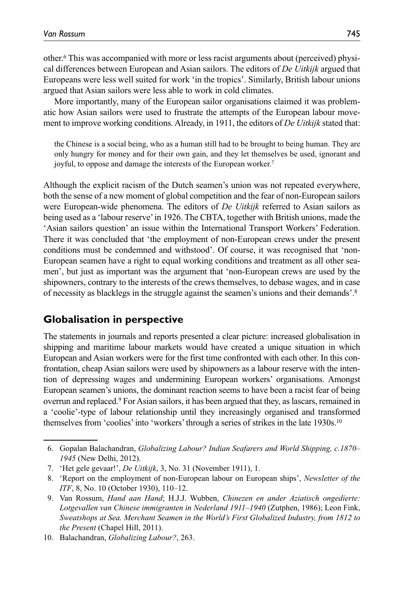other.6 This was accompanied with more or less racist arguments about (perceived) physical differences between European and Asian sailors. The editors of *De Uitkijk* argued that Europeans were less well suited for work 'in the tropics'. Similarly, British labour unions argued that Asian sailors were less able to work in cold climates.

More importantly, many of the European sailor organisations claimed it was problematic how Asian sailors were used to frustrate the attempts of the European labour movement to improve working conditions. Already, in 1911, the editors of *De Uitkijk* stated that:

the Chinese is a social being, who as a human still had to be brought to being human. They are only hungry for money and for their own gain, and they let themselves be used, ignorant and joyful, to oppose and damage the interests of the European worker.<sup>7</sup>

Although the explicit racism of the Dutch seamen's union was not repeated everywhere, both the sense of a new moment of global competition and the fear of non-European sailors were European-wide phenomena. The editors of *De Uitkijk* referred to Asian sailors as being used as a 'labour reserve' in 1926. The CBTA, together with British unions, made the 'Asian sailors question' an issue within the International Transport Workers' Federation. There it was concluded that 'the employment of non-European crews under the present conditions must be condemned and withstood'. Of course, it was recognised that 'non-European seamen have a right to equal working conditions and treatment as all other seamen', but just as important was the argument that 'non-European crews are used by the shipowners, contrary to the interests of the crews themselves, to debase wages, and in case of necessity as blacklegs in the struggle against the seamen's unions and their demands'.8

# **Globalisation in perspective**

The statements in journals and reports presented a clear picture: increased globalisation in shipping and maritime labour markets would have created a unique situation in which European and Asian workers were for the first time confronted with each other. In this confrontation, cheap Asian sailors were used by shipowners as a labour reserve with the intention of depressing wages and undermining European workers' organisations. Amongst European seamen's unions, the dominant reaction seems to have been a racist fear of being overrun and replaced.9 For Asian sailors, it has been argued that they, as lascars, remained in a 'coolie'-type of labour relationship until they increasingly organised and transformed themselves from 'coolies' into 'workers' through a series of strikes in the late 1930s.10

<sup>6.</sup> Gopalan Balachandran, *Globalizing Labour? Indian Seafarers and World Shipping, c.1870– 1945* (New Delhi, 2012).

<sup>7.</sup> 'Het gele gevaar!', *De Uitkijk*, 3, No. 31 (November 1911), 1.

<sup>8.</sup> 'Report on the employment of non-European labour on European ships', *Newsletter of the ITF*, 8, No. 10 (October 1930), 110–12.

<sup>9.</sup> Van Rossum, *Hand aan Hand*; H.J.J. Wubben, *Chinezen en ander Aziatisch ongedierte: Lotgevallen van Chinese immigranten in Nederland 1911–1940* (Zutphen, 1986); Leon Fink, *Sweatshops at Sea. Merchant Seamen in the World's First Globalized Industry, from 1812 to the Present* (Chapel Hill, 2011).

<sup>10.</sup> Balachandran, *Globalizing Labour?*, 263.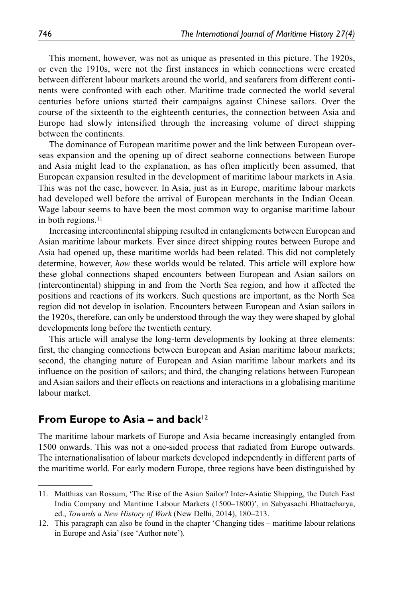This moment, however, was not as unique as presented in this picture. The 1920s, or even the 1910s, were not the first instances in which connections were created between different labour markets around the world, and seafarers from different continents were confronted with each other. Maritime trade connected the world several centuries before unions started their campaigns against Chinese sailors. Over the course of the sixteenth to the eighteenth centuries, the connection between Asia and Europe had slowly intensified through the increasing volume of direct shipping between the continents.

The dominance of European maritime power and the link between European overseas expansion and the opening up of direct seaborne connections between Europe and Asia might lead to the explanation, as has often implicitly been assumed, that European expansion resulted in the development of maritime labour markets in Asia. This was not the case, however. In Asia, just as in Europe, maritime labour markets had developed well before the arrival of European merchants in the Indian Ocean. Wage labour seems to have been the most common way to organise maritime labour in both regions.11

Increasing intercontinental shipping resulted in entanglements between European and Asian maritime labour markets. Ever since direct shipping routes between Europe and Asia had opened up, these maritime worlds had been related. This did not completely determine, however, *how* these worlds would be related. This article will explore how these global connections shaped encounters between European and Asian sailors on (intercontinental) shipping in and from the North Sea region, and how it affected the positions and reactions of its workers. Such questions are important, as the North Sea region did not develop in isolation. Encounters between European and Asian sailors in the 1920s, therefore, can only be understood through the way they were shaped by global developments long before the twentieth century.

This article will analyse the long-term developments by looking at three elements: first, the changing connections between European and Asian maritime labour markets; second, the changing nature of European and Asian maritime labour markets and its influence on the position of sailors; and third, the changing relations between European and Asian sailors and their effects on reactions and interactions in a globalising maritime labour market.

# **From Europe to Asia – and back**<sup>12</sup>

The maritime labour markets of Europe and Asia became increasingly entangled from 1500 onwards. This was not a one-sided process that radiated from Europe outwards. The internationalisation of labour markets developed independently in different parts of the maritime world. For early modern Europe, three regions have been distinguished by

<sup>11.</sup> Matthias van Rossum, 'The Rise of the Asian Sailor? Inter-Asiatic Shipping, the Dutch East India Company and Maritime Labour Markets (1500–1800)', in Sabyasachi Bhattacharya, ed., *Towards a New History of Work* (New Delhi, 2014), 180–213.

<sup>12.</sup> This paragraph can also be found in the chapter 'Changing tides – maritime labour relations in Europe and Asia' (see 'Author note').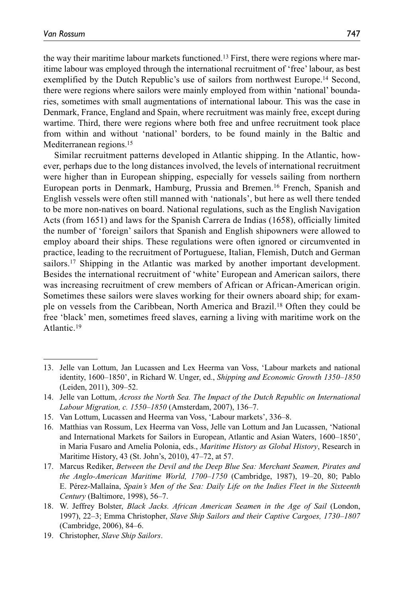the way their maritime labour markets functioned.13 First, there were regions where maritime labour was employed through the international recruitment of 'free' labour, as best exemplified by the Dutch Republic's use of sailors from northwest Europe.14 Second, there were regions where sailors were mainly employed from within 'national' boundaries, sometimes with small augmentations of international labour. This was the case in Denmark, France, England and Spain, where recruitment was mainly free, except during wartime. Third, there were regions where both free and unfree recruitment took place from within and without 'national' borders, to be found mainly in the Baltic and Mediterranean regions.<sup>15</sup>

Similar recruitment patterns developed in Atlantic shipping. In the Atlantic, however, perhaps due to the long distances involved, the levels of international recruitment were higher than in European shipping, especially for vessels sailing from northern European ports in Denmark, Hamburg, Prussia and Bremen.16 French, Spanish and English vessels were often still manned with 'nationals', but here as well there tended to be more non-natives on board. National regulations, such as the English Navigation Acts (from 1651) and laws for the Spanish Carrera de Indias (1658), officially limited the number of 'foreign' sailors that Spanish and English shipowners were allowed to employ aboard their ships. These regulations were often ignored or circumvented in practice, leading to the recruitment of Portuguese, Italian, Flemish, Dutch and German sailors.17 Shipping in the Atlantic was marked by another important development. Besides the international recruitment of 'white' European and American sailors, there was increasing recruitment of crew members of African or African-American origin. Sometimes these sailors were slaves working for their owners aboard ship; for example on vessels from the Caribbean, North America and Brazil.18 Often they could be free 'black' men, sometimes freed slaves, earning a living with maritime work on the Atlantic.19

17. Marcus Rediker, *Between the Devil and the Deep Blue Sea: Merchant Seamen, Pirates and the Anglo-American Maritime World, 1700–1750* (Cambridge, 1987), 19–20, 80; Pablo E. Pérez-Mallaína, *Spain's Men of the Sea: Daily Life on the Indies Fleet in the Sixteenth Century* (Baltimore, 1998), 56–7.

19. Christopher, *Slave Ship Sailors*.

<sup>13.</sup> Jelle van Lottum, Jan Lucassen and Lex Heerma van Voss, 'Labour markets and national identity, 1600–1850', in Richard W. Unger, ed., *Shipping and Economic Growth 1350–1850* (Leiden, 2011), 309–52.

<sup>14.</sup> Jelle van Lottum, *Across the North Sea. The Impact of the Dutch Republic on International Labour Migration, c. 1550–1850* (Amsterdam, 2007), 136–7.

<sup>15.</sup> Van Lottum, Lucassen and Heerma van Voss, 'Labour markets', 336–8.

<sup>16.</sup> Matthias van Rossum, Lex Heerma van Voss, Jelle van Lottum and Jan Lucassen, 'National and International Markets for Sailors in European, Atlantic and Asian Waters, 1600–1850', in Maria Fusaro and Amelia Polonia, eds., *Maritime History as Global History*, Research in Maritime History, 43 (St. John's, 2010), 47–72, at 57.

<sup>18.</sup> W. Jeffrey Bolster, *Black Jacks. African American Seamen in the Age of Sail* (London, 1997), 22–3; Emma Christopher, *Slave Ship Sailors and their Captive Cargoes, 1730–1807* (Cambridge, 2006), 84–6.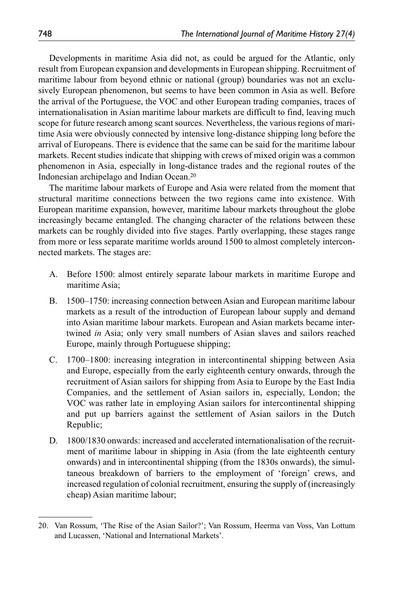Developments in maritime Asia did not, as could be argued for the Atlantic, only result from European expansion and developments in European shipping. Recruitment of maritime labour from beyond ethnic or national (group) boundaries was not an exclusively European phenomenon, but seems to have been common in Asia as well. Before the arrival of the Portuguese, the VOC and other European trading companies, traces of internationalisation in Asian maritime labour markets are difficult to find, leaving much scope for future research among scant sources. Nevertheless, the various regions of maritime Asia were obviously connected by intensive long-distance shipping long before the arrival of Europeans. There is evidence that the same can be said for the maritime labour markets. Recent studies indicate that shipping with crews of mixed origin was a common phenomenon in Asia, especially in long-distance trades and the regional routes of the Indonesian archipelago and Indian Ocean.20

The maritime labour markets of Europe and Asia were related from the moment that structural maritime connections between the two regions came into existence. With European maritime expansion, however, maritime labour markets throughout the globe increasingly became entangled. The changing character of the relations between these markets can be roughly divided into five stages. Partly overlapping, these stages range from more or less separate maritime worlds around 1500 to almost completely interconnected markets. The stages are:

- A. Before 1500: almost entirely separate labour markets in maritime Europe and maritime Asia;
- B. 1500–1750: increasing connection between Asian and European maritime labour markets as a result of the introduction of European labour supply and demand into Asian maritime labour markets. European and Asian markets became intertwined *in* Asia; only very small numbers of Asian slaves and sailors reached Europe, mainly through Portuguese shipping;
- C. 1700–1800: increasing integration in intercontinental shipping between Asia and Europe, especially from the early eighteenth century onwards, through the recruitment of Asian sailors for shipping from Asia to Europe by the East India Companies, and the settlement of Asian sailors in, especially, London; the VOC was rather late in employing Asian sailors for intercontinental shipping and put up barriers against the settlement of Asian sailors in the Dutch Republic;
- D. 1800/1830 onwards: increased and accelerated internationalisation of the recruitment of maritime labour in shipping in Asia (from the late eighteenth century onwards) and in intercontinental shipping (from the 1830s onwards), the simultaneous breakdown of barriers to the employment of 'foreign' crews, and increased regulation of colonial recruitment, ensuring the supply of (increasingly cheap) Asian maritime labour;

<sup>20.</sup> Van Rossum, 'The Rise of the Asian Sailor?'; Van Rossum, Heerma van Voss, Van Lottum and Lucassen, 'National and International Markets'.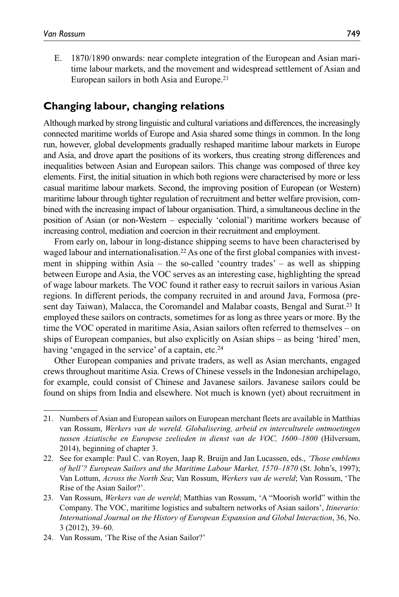E. 1870/1890 onwards: near complete integration of the European and Asian maritime labour markets, and the movement and widespread settlement of Asian and European sailors in both Asia and Europe.21

### **Changing labour, changing relations**

Although marked by strong linguistic and cultural variations and differences, the increasingly connected maritime worlds of Europe and Asia shared some things in common. In the long run, however, global developments gradually reshaped maritime labour markets in Europe and Asia, and drove apart the positions of its workers, thus creating strong differences and inequalities between Asian and European sailors. This change was composed of three key elements. First, the initial situation in which both regions were characterised by more or less casual maritime labour markets. Second, the improving position of European (or Western) maritime labour through tighter regulation of recruitment and better welfare provision, combined with the increasing impact of labour organisation. Third, a simultaneous decline in the position of Asian (or non-Western – especially 'colonial') maritime workers because of increasing control, mediation and coercion in their recruitment and employment.

From early on, labour in long-distance shipping seems to have been characterised by waged labour and internationalisation.22 As one of the first global companies with investment in shipping within Asia – the so-called 'country trades' – as well as shipping between Europe and Asia, the VOC serves as an interesting case, highlighting the spread of wage labour markets. The VOC found it rather easy to recruit sailors in various Asian regions. In different periods, the company recruited in and around Java, Formosa (present day Taiwan), Malacca, the Coromandel and Malabar coasts, Bengal and Surat.<sup>23</sup> It employed these sailors on contracts, sometimes for as long as three years or more. By the time the VOC operated in maritime Asia, Asian sailors often referred to themselves – on ships of European companies, but also explicitly on Asian ships – as being 'hired' men, having 'engaged in the service' of a captain, etc.<sup>24</sup>

Other European companies and private traders, as well as Asian merchants, engaged crews throughout maritime Asia. Crews of Chinese vessels in the Indonesian archipelago, for example, could consist of Chinese and Javanese sailors. Javanese sailors could be found on ships from India and elsewhere. Not much is known (yet) about recruitment in

<sup>21.</sup> Numbers of Asian and European sailors on European merchant fleets are available in Matthias van Rossum, *Werkers van de wereld. Globalisering, arbeid en interculturele ontmoetingen tussen Aziatische en Europese zeelieden in dienst van de VOC, 1600–1800* (Hilversum, 2014), beginning of chapter 3.

<sup>22.</sup> See for example: Paul C. van Royen, Jaap R. Bruijn and Jan Lucassen, eds., *'Those emblems of hell'? European Sailors and the Maritime Labour Market, 1570–1870* (St. John's, 1997); Van Lottum, *Across the North Sea*; Van Rossum, *Werkers van de wereld*; Van Rossum, 'The Rise of the Asian Sailor?'.

<sup>23.</sup> Van Rossum, *Werkers van de wereld*; Matthias van Rossum, 'A "Moorish world" within the Company. The VOC, maritime logistics and subaltern networks of Asian sailors', *Itinerario: International Journal on the History of European Expansion and Global Interaction*, 36, No. 3 (2012), 39–60.

<sup>24.</sup> Van Rossum, 'The Rise of the Asian Sailor?'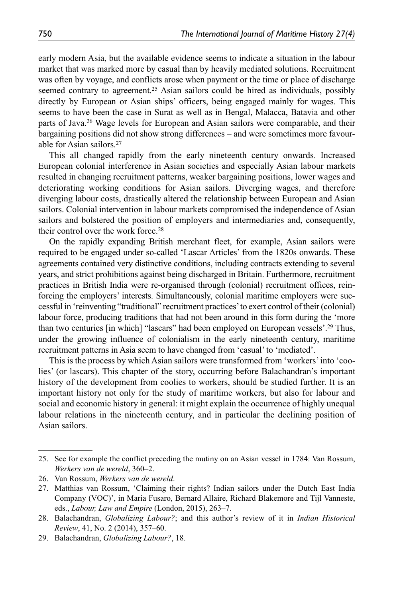early modern Asia, but the available evidence seems to indicate a situation in the labour market that was marked more by casual than by heavily mediated solutions. Recruitment was often by voyage, and conflicts arose when payment or the time or place of discharge seemed contrary to agreement.25 Asian sailors could be hired as individuals, possibly directly by European or Asian ships' officers, being engaged mainly for wages. This seems to have been the case in Surat as well as in Bengal, Malacca, Batavia and other parts of Java.26 Wage levels for European and Asian sailors were comparable, and their bargaining positions did not show strong differences – and were sometimes more favourable for Asian sailors.27

This all changed rapidly from the early nineteenth century onwards. Increased European colonial interference in Asian societies and especially Asian labour markets resulted in changing recruitment patterns, weaker bargaining positions, lower wages and deteriorating working conditions for Asian sailors. Diverging wages, and therefore diverging labour costs, drastically altered the relationship between European and Asian sailors. Colonial intervention in labour markets compromised the independence of Asian sailors and bolstered the position of employers and intermediaries and, consequently, their control over the work force.<sup>28</sup>

On the rapidly expanding British merchant fleet, for example, Asian sailors were required to be engaged under so-called 'Lascar Articles' from the 1820s onwards. These agreements contained very distinctive conditions, including contracts extending to several years, and strict prohibitions against being discharged in Britain. Furthermore, recruitment practices in British India were re-organised through (colonial) recruitment offices, reinforcing the employers' interests. Simultaneously, colonial maritime employers were successful in 'reinventing "traditional" recruitment practices' to exert control of their (colonial) labour force, producing traditions that had not been around in this form during the 'more than two centuries [in which] "lascars" had been employed on European vessels'.29 Thus, under the growing influence of colonialism in the early nineteenth century, maritime recruitment patterns in Asia seem to have changed from 'casual' to 'mediated'.

This is the process by which Asian sailors were transformed from 'workers' into 'coolies' (or lascars). This chapter of the story, occurring before Balachandran's important history of the development from coolies to workers, should be studied further. It is an important history not only for the study of maritime workers, but also for labour and social and economic history in general: it might explain the occurrence of highly unequal labour relations in the nineteenth century, and in particular the declining position of Asian sailors.

<sup>25.</sup> See for example the conflict preceding the mutiny on an Asian vessel in 1784: Van Rossum, *Werkers van de wereld*, 360–2.

<sup>26.</sup> Van Rossum, *Werkers van de wereld*.

<sup>27.</sup> Matthias van Rossum, 'Claiming their rights? Indian sailors under the Dutch East India Company (VOC)', in Maria Fusaro, Bernard Allaire, Richard Blakemore and Tijl Vanneste, eds., *Labour, Law and Empire* (London, 2015), 263–7.

<sup>28.</sup> Balachandran, *Globalizing Labour?*; and this author's review of it in *Indian Historical Review*, 41, No. 2 (2014), 357–60.

<sup>29.</sup> Balachandran, *Globalizing Labour?*, 18.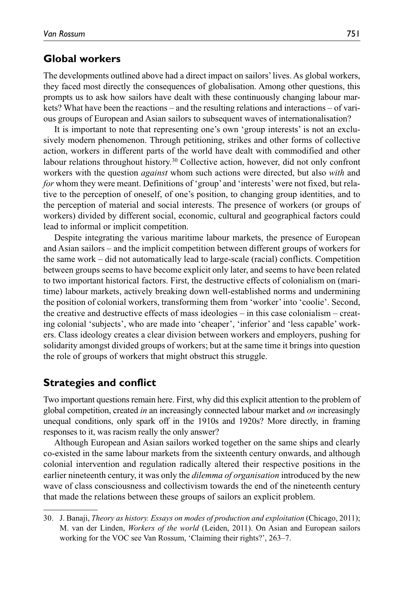#### **Global workers**

The developments outlined above had a direct impact on sailors' lives. As global workers, they faced most directly the consequences of globalisation. Among other questions, this prompts us to ask how sailors have dealt with these continuously changing labour markets? What have been the reactions – and the resulting relations and interactions – of various groups of European and Asian sailors to subsequent waves of internationalisation?

It is important to note that representing one's own 'group interests' is not an exclusively modern phenomenon. Through petitioning, strikes and other forms of collective action, workers in different parts of the world have dealt with commodified and other labour relations throughout history.30 Collective action, however, did not only confront workers with the question *against* whom such actions were directed, but also *with* and *for* whom they were meant. Definitions of 'group' and 'interests' were not fixed, but relative to the perception of oneself, of one's position, to changing group identities, and to the perception of material and social interests. The presence of workers (or groups of workers) divided by different social, economic, cultural and geographical factors could lead to informal or implicit competition.

Despite integrating the various maritime labour markets, the presence of European and Asian sailors – and the implicit competition between different groups of workers for the same work – did not automatically lead to large-scale (racial) conflicts. Competition between groups seems to have become explicit only later, and seems to have been related to two important historical factors. First, the destructive effects of colonialism on (maritime) labour markets, actively breaking down well-established norms and undermining the position of colonial workers, transforming them from 'worker' into 'coolie'. Second, the creative and destructive effects of mass ideologies – in this case colonialism – creating colonial 'subjects', who are made into 'cheaper', 'inferior' and 'less capable' workers. Class ideology creates a clear division between workers and employers, pushing for solidarity amongst divided groups of workers; but at the same time it brings into question the role of groups of workers that might obstruct this struggle.

#### **Strategies and conflict**

Two important questions remain here. First, why did this explicit attention to the problem of global competition, created *in* an increasingly connected labour market and *on* increasingly unequal conditions, only spark off in the 1910s and 1920s? More directly, in framing responses to it, was racism really the only answer?

Although European and Asian sailors worked together on the same ships and clearly co-existed in the same labour markets from the sixteenth century onwards, and although colonial intervention and regulation radically altered their respective positions in the earlier nineteenth century, it was only the *dilemma of organisation* introduced by the new wave of class consciousness and collectivism towards the end of the nineteenth century that made the relations between these groups of sailors an explicit problem.

<sup>30.</sup> J. Banaji, *Theory as history. Essays on modes of production and exploitation* (Chicago, 2011); M. van der Linden, *Workers of the world* (Leiden, 2011). On Asian and European sailors working for the VOC see Van Rossum, 'Claiming their rights?', 263–7.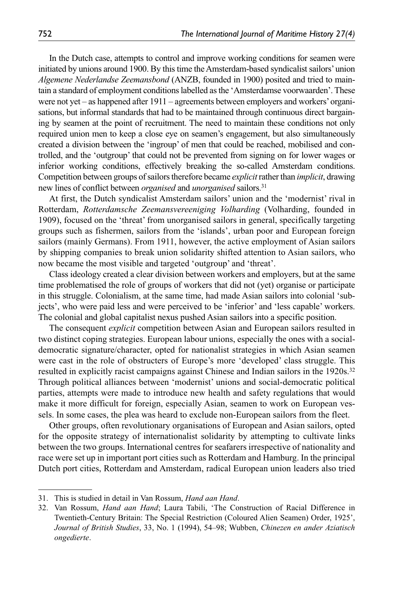In the Dutch case, attempts to control and improve working conditions for seamen were initiated by unions around 1900. By this time the Amsterdam-based syndicalist sailors' union *Algemene Nederlandse Zeemansbond* (ANZB, founded in 1900) posited and tried to maintain a standard of employment conditions labelled as the 'Amsterdamse voorwaarden'. These were not yet – as happened after 1911 – agreements between employers and workers' organisations, but informal standards that had to be maintained through continuous direct bargaining by seamen at the point of recruitment. The need to maintain these conditions not only required union men to keep a close eye on seamen's engagement, but also simultaneously created a division between the 'ingroup' of men that could be reached, mobilised and controlled, and the 'outgroup' that could not be prevented from signing on for lower wages or inferior working conditions, effectively breaking the so-called Amsterdam conditions. Competition between groups of sailors therefore became *explicit* rather than *implicit*, drawing new lines of conflict between *organised* and *unorganised* sailors.31

At first, the Dutch syndicalist Amsterdam sailors' union and the 'modernist' rival in Rotterdam, *Rotterdamsche Zeemansvereeniging Volharding* (Volharding, founded in 1909), focused on the 'threat' from unorganised sailors in general, specifically targeting groups such as fishermen, sailors from the 'islands', urban poor and European foreign sailors (mainly Germans). From 1911, however, the active employment of Asian sailors by shipping companies to break union solidarity shifted attention to Asian sailors, who now became the most visible and targeted 'outgroup' and 'threat'.

Class ideology created a clear division between workers and employers, but at the same time problematised the role of groups of workers that did not (yet) organise or participate in this struggle. Colonialism, at the same time, had made Asian sailors into colonial 'subjects', who were paid less and were perceived to be 'inferior' and 'less capable' workers. The colonial and global capitalist nexus pushed Asian sailors into a specific position.

The consequent *explicit* competition between Asian and European sailors resulted in two distinct coping strategies. European labour unions, especially the ones with a socialdemocratic signature/character, opted for nationalist strategies in which Asian seamen were cast in the role of obstructers of Europe's more 'developed' class struggle. This resulted in explicitly racist campaigns against Chinese and Indian sailors in the 1920s.32 Through political alliances between 'modernist' unions and social-democratic political parties, attempts were made to introduce new health and safety regulations that would make it more difficult for foreign, especially Asian, seamen to work on European vessels. In some cases, the plea was heard to exclude non-European sailors from the fleet.

Other groups, often revolutionary organisations of European and Asian sailors, opted for the opposite strategy of internationalist solidarity by attempting to cultivate links between the two groups. International centres for seafarers irrespective of nationality and race were set up in important port cities such as Rotterdam and Hamburg. In the principal Dutch port cities, Rotterdam and Amsterdam, radical European union leaders also tried

<sup>31.</sup> This is studied in detail in Van Rossum, *Hand aan Hand*.

<sup>32.</sup> Van Rossum, *Hand aan Hand*; Laura Tabili, 'The Construction of Racial Difference in Twentieth-Century Britain: The Special Restriction (Coloured Alien Seamen) Order, 1925', *Journal of British Studies*, 33, No. 1 (1994), 54–98; Wubben, *Chinezen en ander Aziatisch ongedierte*.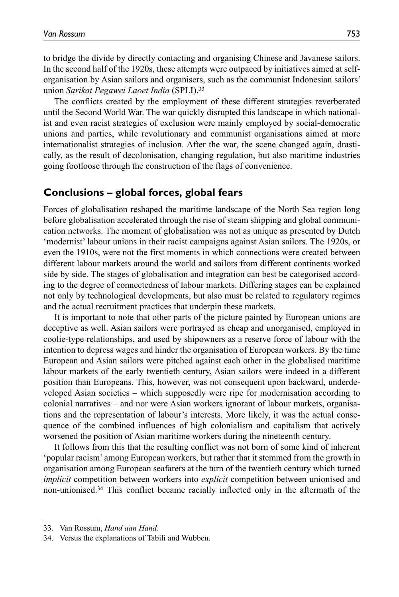to bridge the divide by directly contacting and organising Chinese and Javanese sailors. In the second half of the 1920s, these attempts were outpaced by initiatives aimed at selforganisation by Asian sailors and organisers, such as the communist Indonesian sailors' union *Sarikat Pegawei Laoet India* (SPLI).33

The conflicts created by the employment of these different strategies reverberated until the Second World War. The war quickly disrupted this landscape in which nationalist and even racist strategies of exclusion were mainly employed by social-democratic unions and parties, while revolutionary and communist organisations aimed at more internationalist strategies of inclusion. After the war, the scene changed again, drastically, as the result of decolonisation, changing regulation, but also maritime industries going footloose through the construction of the flags of convenience.

#### **Conclusions – global forces, global fears**

Forces of globalisation reshaped the maritime landscape of the North Sea region long before globalisation accelerated through the rise of steam shipping and global communication networks. The moment of globalisation was not as unique as presented by Dutch 'modernist' labour unions in their racist campaigns against Asian sailors. The 1920s, or even the 1910s, were not the first moments in which connections were created between different labour markets around the world and sailors from different continents worked side by side. The stages of globalisation and integration can best be categorised according to the degree of connectedness of labour markets. Differing stages can be explained not only by technological developments, but also must be related to regulatory regimes and the actual recruitment practices that underpin these markets.

It is important to note that other parts of the picture painted by European unions are deceptive as well. Asian sailors were portrayed as cheap and unorganised, employed in coolie-type relationships, and used by shipowners as a reserve force of labour with the intention to depress wages and hinder the organisation of European workers. By the time European and Asian sailors were pitched against each other in the globalised maritime labour markets of the early twentieth century, Asian sailors were indeed in a different position than Europeans. This, however, was not consequent upon backward, underdeveloped Asian societies – which supposedly were ripe for modernisation according to colonial narratives – and nor were Asian workers ignorant of labour markets, organisations and the representation of labour's interests. More likely, it was the actual consequence of the combined influences of high colonialism and capitalism that actively worsened the position of Asian maritime workers during the nineteenth century.

It follows from this that the resulting conflict was not born of some kind of inherent 'popular racism' among European workers, but rather that it stemmed from the growth in organisation among European seafarers at the turn of the twentieth century which turned *implicit* competition between workers into *explicit* competition between unionised and non-unionised.34 This conflict became racially inflected only in the aftermath of the

<sup>33.</sup> Van Rossum, *Hand aan Hand*.

<sup>34.</sup> Versus the explanations of Tabili and Wubben.